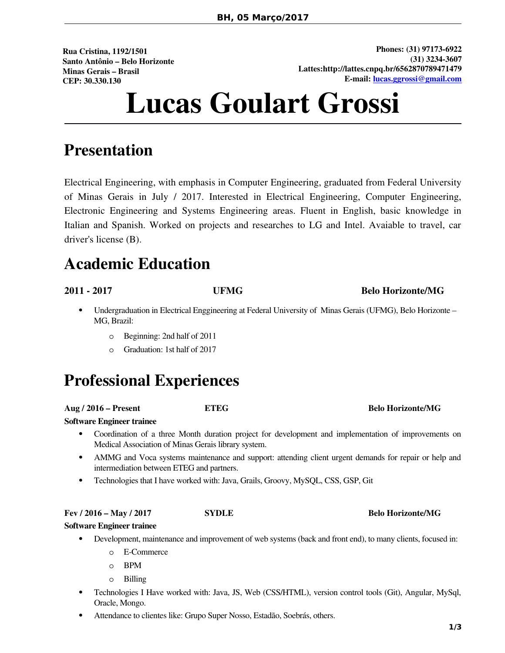**Rua Cristina, 1192/1501 Santo Antônio – Belo Horizonte Minas Gerais – Brasil CEP: 30.330.130**

**Phones: (31) 97173-6922 (31) 3234-3607 Lattes:http://lattes.cnpq.br/6562870789471479 E-mail: [lucas.ggrossi@gmail.com](mailto:lucas.ggrossi@gmail.com?subject=vaga%20engenharia)**

# **Lucas Goulart Grossi**

### **Presentation**

Electrical Engineering, with emphasis in Computer Engineering, graduated from Federal University of Minas Gerais in July / 2017. Interested in Electrical Engineering, Computer Engineering, Electronic Engineering and Systems Engineering areas. Fluent in English, basic knowledge in Italian and Spanish. Worked on projects and researches to LG and Intel. Avaiable to travel, car driver's license (B).

### **Academic Education**

### **2011 - 2017 UFMG Belo Horizonte/MG**

- Undergraduation in Electrical Enggineering at Federal University of Minas Gerais (UFMG), Belo Horizonte MG, Brazil:
	- o Beginning: 2nd half of 2011
	- o Graduation: 1st half of 2017

### **Professional Experiences**

**Aug / 2016 – Present ETEG Belo Horizonte/MG**

**Software Engineer trainee**

- Coordination of a three Month duration project for development and implementation of improvements on Medical Association of Minas Gerais library system.
- AMMG and Voca systems maintenance and support: attending client urgent demands for repair or help and intermediation between ETEG and partners.
- Technologies that I have worked with: Java, Grails, Groovy, MySQL, CSS, GSP, Git

**Fev / 2016 – May / 2017 SYDLE Belo Horizonte/MG**

- **Software Engineer trainee** Development, maintenance and improvement of web systems (back and front end), to many clients, focused in:
	- o E-Commerce
	- o BPM
	- o Billing
	- Technologies I Have worked with: Java, JS, Web (CSS/HTML), version control tools (Git), Angular, MySql, Oracle, Mongo.
	- Attendance to clientes like: Grupo Super Nosso, Estadão, Soebrás, others.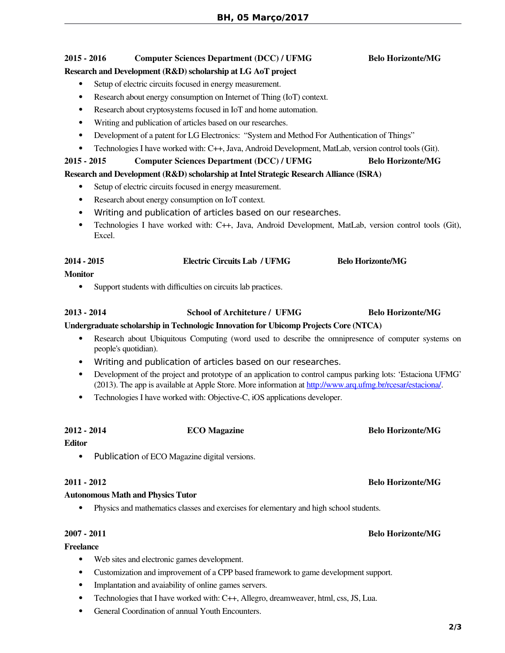### **2015 - 2016 Computer Sciences Department (DCC) / UFMG Belo Horizonte/MG**

#### **Research and Development (R&D) scholarship at LG AoT project**

- Setup of electric circuits focused in energy measurement.
- Research about energy consumption on Internet of Thing (IoT) context.
- Research about cryptosystems focused in IoT and home automation.
- Writing and publication of articles based on our researches.
- Development of a patent for LG Electronics: "System and Method For Authentication of Things"
- Technologies I have worked with: C++, Java, Android Development, MatLab, version control tools (Git).

### **2015 - 2015 Computer Sciences Department (DCC) / UFMG Belo Horizonte/MG**

### **Research and Development (R&D) scholarship at Intel Strategic Research Alliance (ISRA)**

- Setup of electric circuits focused in energy measurement.
- Research about energy consumption on IoT context.
- Writing and publication of articles based on our researches.
- Technologies I have worked with: C++, Java, Android Development, MatLab, version control tools (Git), Excel.

### **2014 - 2015 Electric Circuits Lab / UFMG Belo Horizonte/MG**

#### **Monitor**

• Support students with difficulties on circuits lab practices.

### **2013 - 2014 School of Architeture / UFMG Belo Horizonte/MG**

#### **Undergraduate scholarship in Technologic Innovation for Ubicomp Projects Core (NTCA)**

- Research about Ubiquitous Computing (word used to describe the omnipresence of computer systems on people's quotidian).
- Writing and publication of articles based on our researches.
- Development of the project and prototype of an application to control campus parking lots: 'Estaciona UFMG' (2013). The app is available at Apple Store. More information at http://www.arq.ufmg.br/rcesar/estacional.
- Technologies I have worked with: Objective-C, iOS applications developer.

### **2012 - 2014 ECO Magazine Belo Horizonte/MG**

#### **Editor**

• Publication of ECO Magazine digital versions.

#### **2011 - 2012 Belo Horizonte/MG**

#### **Autonomous Math and Physics Tutor**

Physics and mathematics classes and exercises for elementary and high school students.

#### **2007 - 2011 Belo Horizonte/MG**

#### **Freelance**

- Web sites and electronic games development.
- Customization and improvement of a CPP based framework to game development support.
- Implantation and avaiability of online games servers.
- Technologies that I have worked with: C++, Allegro, dreamweaver, html, css, JS, Lua.
- General Coordination of annual Youth Encounters.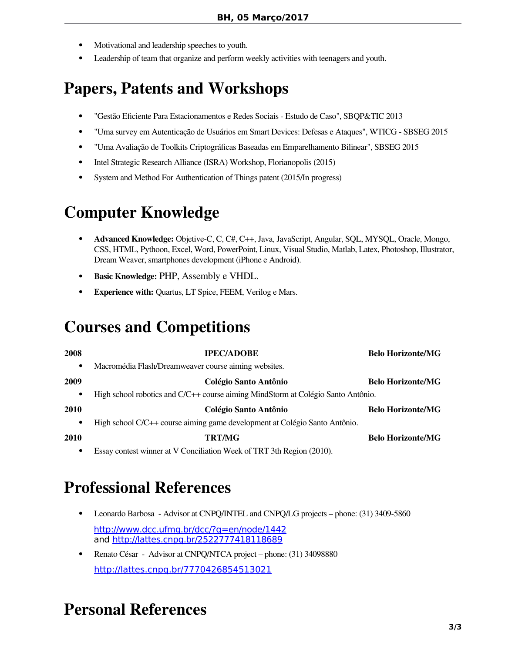- Motivational and leadership speeches to youth.
- Leadership of team that organize and perform weekly activities with teenagers and youth.

### **Papers, Patents and Workshops**

- "Gestão Efciente Para Estacionamentos e Redes Sociais Estudo de Caso", SBQP&TIC 2013
- "Uma survey em Autenticação de Usuários em Smart Devices: Defesas e Ataques", WTICG SBSEG 2015
- "Uma Avaliação de Toolkits Criptográfcas Baseadas em Emparelhamento Bilinear", SBSEG 2015
- Intel Strategic Research Alliance (ISRA) Workshop, Florianopolis (2015)
- System and Method For Authentication of Things patent (2015/In progress)

### **Computer Knowledge**

- **Advanced Knowledge:** Objetive-C, C, C#, C++, Java, JavaScript, Angular, SQL, MYSQL, Oracle, Mongo, CSS, HTML, Pythoon, Excel, Word, PowerPoint, Linux, Visual Studio, Matlab, Latex, Photoshop, Illustrator, Dream Weaver, smartphones development (iPhone e Android).
- **Basic Knowledge:** PHP, Assembly e VHDL.
- **Experience with:** Quartus, LT Spice, FEEM, Verilog e Mars.

## **Courses and Competitions**

| <b>Belo Horizonte/MG</b>                                                              | <b>IPEC/ADOBE</b>                                                          | 2008      |
|---------------------------------------------------------------------------------------|----------------------------------------------------------------------------|-----------|
|                                                                                       | Macromédia Flash/Dreamweaver course aiming websites.                       | ٠         |
| <b>Belo Horizonte/MG</b>                                                              | Colégio Santo Antônio                                                      | 2009      |
| High school robotics and C/C++ course aiming MindStorm at Colégio Santo Antônio.<br>٠ |                                                                            |           |
| <b>Belo Horizonte/MG</b>                                                              | Colégio Santo Antônio                                                      | 2010      |
|                                                                                       | High school C/C++ course aiming game development at Colégio Santo Antônio. | $\bullet$ |
| <b>Belo Horizonte/MG</b>                                                              | <b>TRT/MG</b>                                                              | 2010      |
|                                                                                       |                                                                            |           |

Essay contest winner at V Conciliation Week of TRT 3th Region (2010).

### **Professional References**

- Leonardo Barbosa Advisor at CNPQ/INTEL and CNPQ/LG projects phone: (31) 3409-5860 <http://www.dcc.ufmg.br/dcc/?q=en/node/1442> and <http://lattes.cnpq.br/2522777418118689>
- Renato César Advisor at CNPQ/NTCA project phone: (31) 34098880 <http://lattes.cnpq.br/7770426854513021>

### **Personal References**